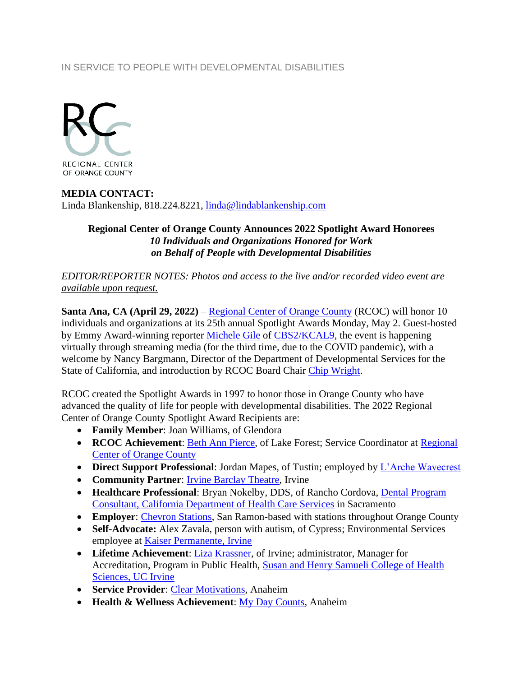## IN SERVICE TO PEOPLE WITH DEVELOPMENTAL DISABILITIES



## **MEDIA CONTACT:** Linda Blankenship, 818.224.8221, [linda@lindablankenship.com](mailto:linda@lindablankenship.com)

## **Regional Center of Orange County Announces 2022 Spotlight Award Honorees** *10 Individuals and Organizations Honored for Work on Behalf of People with Developmental Disabilities*

*EDITOR/REPORTER NOTES: Photos and access to the live and/or recorded video event are available upon request.*

**Santa Ana, CA (April 29, 2022)** – [Regional Center of Orange County](http://www.rcocdd.com/) (RCOC) will honor 10 individuals and organizations at its 25th annual Spotlight Awards Monday, May 2. Guest-hosted by Emmy Award-winning reporter [Michele Gile](https://losangeles.cbslocal.com/personality/michele-gile/) of [CBS2/KCAL9,](https://losangeles.cbslocal.com/station/cbs-kcal/) the event is happening virtually through streaming media (for the third time, due to the COVID pandemic), with a welcome by Nancy Bargmann, Director of the Department of Developmental Services for the State of California, and introduction by RCOC Board Chair [Chip Wright.](http://www.cbre.us/people-and-offices/chip-wright)

RCOC created the Spotlight Awards in 1997 to honor those in Orange County who have advanced the quality of life for people with developmental disabilities. The 2022 Regional Center of Orange County Spotlight Award Recipients are:

- **Family Member**: Joan Williams, of Glendora
- **RCOC Achievement**: [Beth Ann Pierce,](https://www.linkedin.com/in/beth-ann-pierce-515b91118/) of Lake Forest; Service Coordinator at [Regional](https://www.rcocdd.com/)  [Center of Orange County](https://www.rcocdd.com/)
- **Direct Support Professional:** Jordan Mapes, of Tustin; employed by *L'Arche Wavecrest*
- **Community Partner**: [Irvine Barclay Theatre,](https://www.thebarclay.org/) Irvine
- **Healthcare Professional:** Bryan Nokelby, DDS, of Rancho Cordova, **Dental Program** [Consultant, California Department of Health Care Services](https://dental.dhcs.ca.gov/) in Sacramento
- **Employer: [Chevron Stations,](https://www.chevron.com/) San Ramon-based with stations throughout Orange County**
- **Self-Advocate:** Alex Zavala, person with autism, of Cypress; Environmental Services employee at [Kaiser Permanente, Irvine](https://healthy.kaiserpermanente.org/southern-california/facilities/orange-county-irvine-medical-center-100619)
- **Lifetime Achievement**: [Liza Krassner,](https://www.linkedin.com/in/liza-krassner-a014337/) of Irvine; administrator, Manager for Accreditation, Program in Public Health, [Susan and Henry Samueli College of Health](https://healthaffairs.uci.edu/the-college/)  [Sciences, UC Irvine](https://healthaffairs.uci.edu/the-college/)
- **Service Provider**: [Clear Motivations,](https://www.clearmotivationsnpo.org/) Anaheim
- **Health & Wellness Achievement**: [My Day Counts,](https://mydaycounts.org/) Anaheim